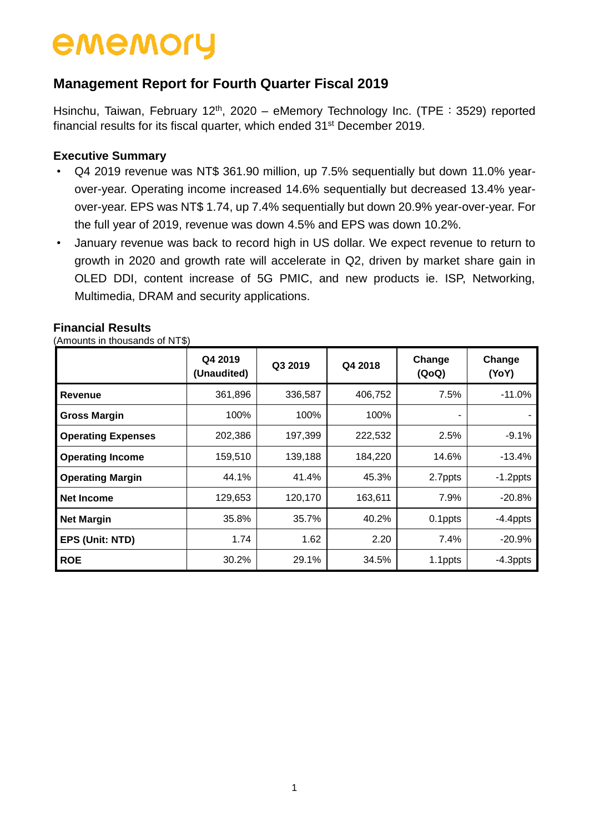## **Management Report for Fourth Quarter Fiscal 2019**

Hsinchu, Taiwan, February 12<sup>th</sup>, 2020 – eMemory Technology Inc. (TPE : 3529) reported financial results for its fiscal quarter, which ended 31<sup>st</sup> December 2019.

#### **Executive Summary**

- Q4 2019 revenue was NT\$ 361.90 million, up 7.5% sequentially but down 11.0% yearover-year. Operating income increased 14.6% sequentially but decreased 13.4% yearover-year. EPS was NT\$ 1.74, up 7.4% sequentially but down 20.9% year-over-year. For the full year of 2019, revenue was down 4.5% and EPS was down 10.2%.
- January revenue was back to record high in US dollar. We expect revenue to return to growth in 2020 and growth rate will accelerate in Q2, driven by market share gain in OLED DDI, content increase of 5G PMIC, and new products ie. ISP, Networking, Multimedia, DRAM and security applications.

#### **Financial Results**

(Amounts in thousands of NT\$)

|                           | Q4 2019<br>(Unaudited) | Q3 2019 | Q4 2018 | Change<br>(QoQ) | Change<br>(YoY) |  |
|---------------------------|------------------------|---------|---------|-----------------|-----------------|--|
| <b>Revenue</b>            | 361,896                | 336,587 | 406,752 | 7.5%            | $-11.0%$        |  |
| <b>Gross Margin</b>       | 100%                   | 100%    | 100%    |                 |                 |  |
| <b>Operating Expenses</b> | 202,386                | 197,399 | 222,532 | 2.5%            | $-9.1%$         |  |
| <b>Operating Income</b>   | 159,510                | 139,188 | 184,220 | 14.6%           | $-13.4%$        |  |
| <b>Operating Margin</b>   | 44.1%                  | 41.4%   | 45.3%   | 2.7ppts         | $-1.2$ ppts     |  |
| Net Income                | 129,653                | 120,170 | 163,611 | 7.9%            | $-20.8%$        |  |
| <b>Net Margin</b>         | 35.8%                  | 35.7%   | 40.2%   | 0.1ppts         | $-4.4$ ppts     |  |
| EPS (Unit: NTD)           | 1.74                   | 1.62    | 2.20    | 7.4%            | $-20.9%$        |  |
| <b>ROE</b>                | 30.2%                  | 29.1%   | 34.5%   | 1.1ppts         | $-4.3$ ppts     |  |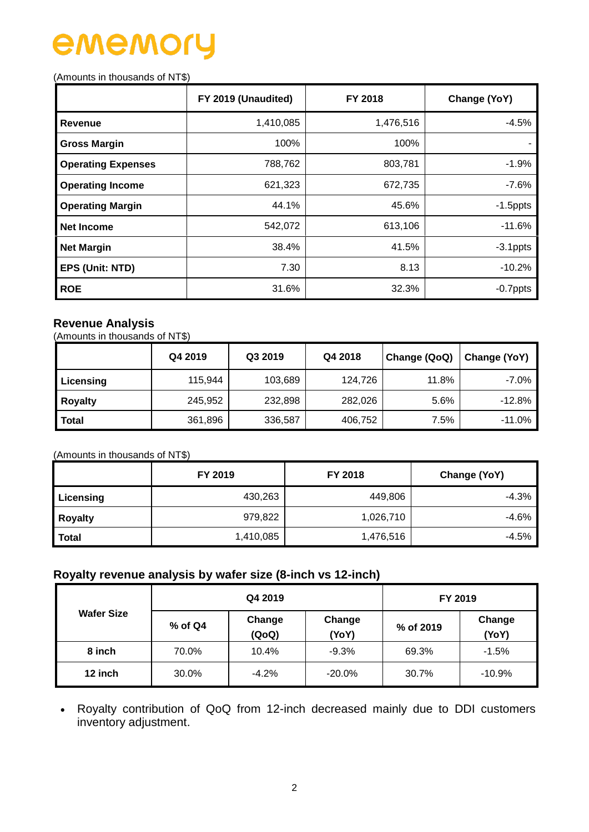# ememo

#### (Amounts in thousands of NT\$)

|                           | FY 2019 (Unaudited) | FY 2018   | Change (YoY) |  |  |
|---------------------------|---------------------|-----------|--------------|--|--|
| <b>Revenue</b>            | 1,410,085           | 1,476,516 | $-4.5%$      |  |  |
| <b>Gross Margin</b>       | 100%                | 100%      |              |  |  |
| <b>Operating Expenses</b> | 788,762             | 803,781   | $-1.9%$      |  |  |
| <b>Operating Income</b>   | 621,323             | 672,735   | $-7.6%$      |  |  |
| <b>Operating Margin</b>   | 44.1%               | 45.6%     | $-1.5$ ppts  |  |  |
| <b>Net Income</b>         | 542,072             | 613,106   | $-11.6%$     |  |  |
| <b>Net Margin</b>         | 38.4%               | 41.5%     | $-3.1$ ppts  |  |  |
| EPS (Unit: NTD)           | 7.30                | 8.13      | $-10.2%$     |  |  |
| <b>ROE</b>                | 31.6%               | 32.3%     | $-0.7$ ppts  |  |  |

### **Revenue Analysis**

(Amounts in thousands of NT\$)

|                | Q4 2019 | Q3 2019 | Q4 2018 | Change (QoQ) | Change (YoY) |
|----------------|---------|---------|---------|--------------|--------------|
| Licensing      | 115,944 | 103,689 | 124,726 | 11.8%        | $-7.0\%$     |
| <b>Royalty</b> | 245,952 | 232,898 | 282,026 | 5.6%         | $-12.8%$     |
| <b>Total</b>   | 361,896 | 336,587 | 406,752 | 7.5%         | $-11.0%$     |

#### (Amounts in thousands of NT\$)

|                | FY 2019   | <b>FY 2018</b> | Change (YoY) |  |  |
|----------------|-----------|----------------|--------------|--|--|
| Licensing      | 430,263   | 449,806        | $-4.3%$      |  |  |
| <b>Royalty</b> | 979,822   | 1,026,710      | $-4.6%$      |  |  |
| <b>Total</b>   | 1,410,085 | 1,476,516      | $-4.5%$      |  |  |

#### **Royalty revenue analysis by wafer size (8-inch vs 12-inch)**

| <b>Wafer Size</b> |           | Q4 2019         | FY 2019         |                              |          |
|-------------------|-----------|-----------------|-----------------|------------------------------|----------|
|                   | $%$ of Q4 | Change<br>(QoQ) | Change<br>(YoY) | Change<br>% of 2019<br>(YoY) |          |
| 8 inch            | 70.0%     | 10.4%           | $-9.3%$         | 69.3%                        | $-1.5%$  |
| 12 inch           | 30.0%     | $-4.2%$         | $-20.0\%$       | 30.7%                        | $-10.9%$ |

 Royalty contribution of QoQ from 12-inch decreased mainly due to DDI customers inventory adjustment.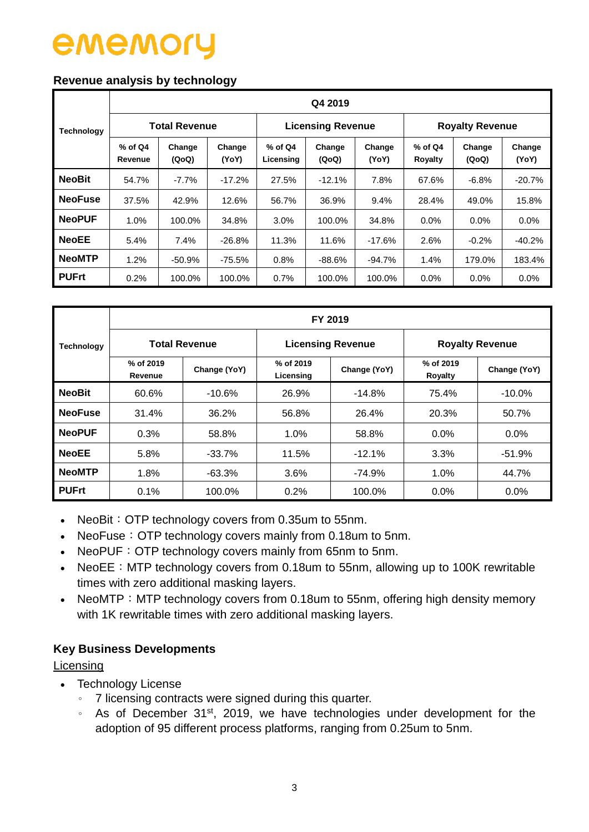#### **Revenue analysis by technology**

|                   | Q4 2019              |                      |                 |                        |                          |                 |                        |                 |                 |  |  |  |  |  |
|-------------------|----------------------|----------------------|-----------------|------------------------|--------------------------|-----------------|------------------------|-----------------|-----------------|--|--|--|--|--|
| <b>Technology</b> |                      | <b>Total Revenue</b> |                 |                        | <b>Licensing Revenue</b> |                 | <b>Royalty Revenue</b> |                 |                 |  |  |  |  |  |
|                   | $%$ of Q4<br>Revenue | Change<br>(QoQ)      | Change<br>(YoY) | $%$ of Q4<br>Licensing | Change<br>(QoQ)          | Change<br>(YoY) | $%$ of Q4<br>Royalty   | Change<br>(QoQ) | Change<br>(YoY) |  |  |  |  |  |
| <b>NeoBit</b>     | 54.7%                | $-7.7\%$             | $-17.2%$        | 27.5%                  | $-12.1%$                 | 7.8%            | 67.6%                  | $-6.8%$         | $-20.7%$        |  |  |  |  |  |
| <b>NeoFuse</b>    | 37.5%                | 42.9%                | 12.6%           | 56.7%                  | 36.9%<br>9.4%            |                 | 28.4%                  | 49.0%           | 15.8%           |  |  |  |  |  |
| <b>NeoPUF</b>     | 1.0%                 | 100.0%               | 34.8%           | 3.0%                   | 100.0%                   | 34.8%           | $0.0\%$                | $0.0\%$         | 0.0%            |  |  |  |  |  |
| <b>NeoEE</b>      | 5.4%                 | 7.4%                 | $-26.8%$        | 11.3%                  | 11.6%                    | $-17.6%$        | 2.6%                   | $-0.2%$         | $-40.2%$        |  |  |  |  |  |
| <b>NeoMTP</b>     | 1.2%                 | $-50.9%$             | -75.5%          | 0.8%                   | -88.6%                   | -94.7%          | 1.4%                   | 179.0%          | 183.4%          |  |  |  |  |  |
| <b>PUFrt</b>      | 0.2%                 | 100.0%               | 100.0%          | 0.7%                   | 100.0%                   | 100.0%          | $0.0\%$                | $0.0\%$         | $0.0\%$         |  |  |  |  |  |

|                   | FY 2019              |                      |                          |              |                        |              |  |  |  |  |  |
|-------------------|----------------------|----------------------|--------------------------|--------------|------------------------|--------------|--|--|--|--|--|
| <b>Technology</b> |                      | <b>Total Revenue</b> | <b>Licensing Revenue</b> |              | <b>Royalty Revenue</b> |              |  |  |  |  |  |
|                   | % of 2019<br>Revenue | Change (YoY)         | % of 2019<br>Licensing   | Change (YoY) | % of 2019<br>Royalty   | Change (YoY) |  |  |  |  |  |
| <b>NeoBit</b>     | 60.6%                | $-10.6%$             | 26.9%                    | $-14.8%$     | 75.4%                  | $-10.0\%$    |  |  |  |  |  |
| <b>NeoFuse</b>    | 31.4%                | 36.2%                | 56.8%                    | 26.4%        | 20.3%                  | 50.7%        |  |  |  |  |  |
| <b>NeoPUF</b>     | 0.3%                 | 58.8%                | 1.0%                     | 58.8%        | 0.0%                   | $0.0\%$      |  |  |  |  |  |
| <b>NeoEE</b>      | 5.8%                 | $-33.7%$             | 11.5%                    | $-12.1%$     | 3.3%                   | $-51.9%$     |  |  |  |  |  |
| <b>NeoMTP</b>     | 1.8%                 | $-63.3%$             | 3.6%                     | $-74.9%$     | 1.0%                   | 44.7%        |  |  |  |  |  |
| <b>PUFrt</b>      | 0.1%                 | 100.0%               | 0.2%                     | 100.0%       | $0.0\%$                | $0.0\%$      |  |  |  |  |  |

- NeoBit: OTP technology covers from 0.35um to 55nm.
- NeoFuse: OTP technology covers mainly from 0.18um to 5nm.
- NeoPUF: OTP technology covers mainly from 65nm to 5nm.
- NeoEE: MTP technology covers from 0.18um to 55nm, allowing up to 100K rewritable times with zero additional masking layers.
- NeoMTP: MTP technology covers from 0.18um to 55nm, offering high density memory with 1K rewritable times with zero additional masking layers.

### **Key Business Developments**

Licensing

- Technology License
	- 。 7 licensing contracts were signed during this quarter.
	- As of December 31<sup>st</sup>, 2019, we have technologies under development for the adoption of 95 different process platforms, ranging from 0.25um to 5nm.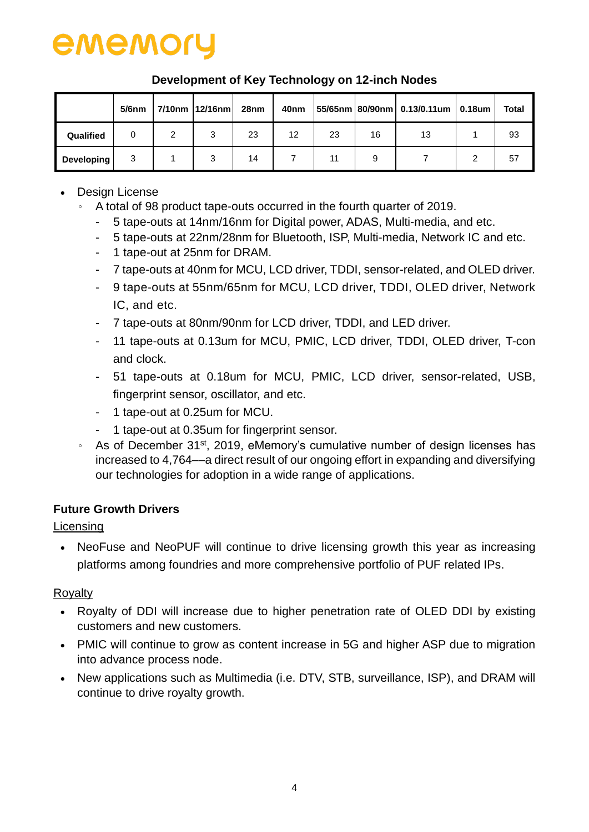

|            | $5/6$ nm |        | 7/10nm   12/16nm | 28 <sub>nm</sub> | 40nm |    |    | $ 55/65$ nm 80/90nm 0.13/0.11um 0.18um | <b>Total</b> |
|------------|----------|--------|------------------|------------------|------|----|----|----------------------------------------|--------------|
| Qualified  | 0        | っ<br>∠ | 3                | 23               | 12   | 23 | 16 | 13                                     | 93           |
| Developing | 3        |        | 3                | 14               |      | 11 |    |                                        | 57           |

### **Development of Key Technology on 12-inch Nodes**

- Design License
	- 。 A total of 98 product tape-outs occurred in the fourth quarter of 2019.
		- 5 tape-outs at 14nm/16nm for Digital power, ADAS, Multi-media, and etc.
		- 5 tape-outs at 22nm/28nm for Bluetooth, ISP, Multi-media, Network IC and etc.
		- 1 tape-out at 25nm for DRAM.
		- 7 tape-outs at 40nm for MCU, LCD driver, TDDI, sensor-related, and OLED driver.
		- 9 tape-outs at 55nm/65nm for MCU, LCD driver, TDDI, OLED driver, Network IC, and etc.
		- 7 tape-outs at 80nm/90nm for LCD driver, TDDI, and LED driver.
		- 11 tape-outs at 0.13um for MCU, PMIC, LCD driver, TDDI, OLED driver, T-con and clock.
		- 51 tape-outs at 0.18um for MCU, PMIC, LCD driver, sensor-related, USB, fingerprint sensor, oscillator, and etc.
		- 1 tape-out at 0.25um for MCU.
		- 1 tape-out at 0.35um for fingerprint sensor.
	- As of December 31<sup>st</sup>, 2019, eMemory's cumulative number of design licenses has increased to 4,764––a direct result of our ongoing effort in expanding and diversifying our technologies for adoption in a wide range of applications.

## **Future Growth Drivers**

### Licensing

• NeoFuse and NeoPUF will continue to drive licensing growth this year as increasing platforms among foundries and more comprehensive portfolio of PUF related IPs.

### Royalty

- Royalty of DDI will increase due to higher penetration rate of OLED DDI by existing customers and new customers.
- PMIC will continue to grow as content increase in 5G and higher ASP due to migration into advance process node.
- New applications such as Multimedia (i.e. DTV, STB, surveillance, ISP), and DRAM will continue to drive royalty growth.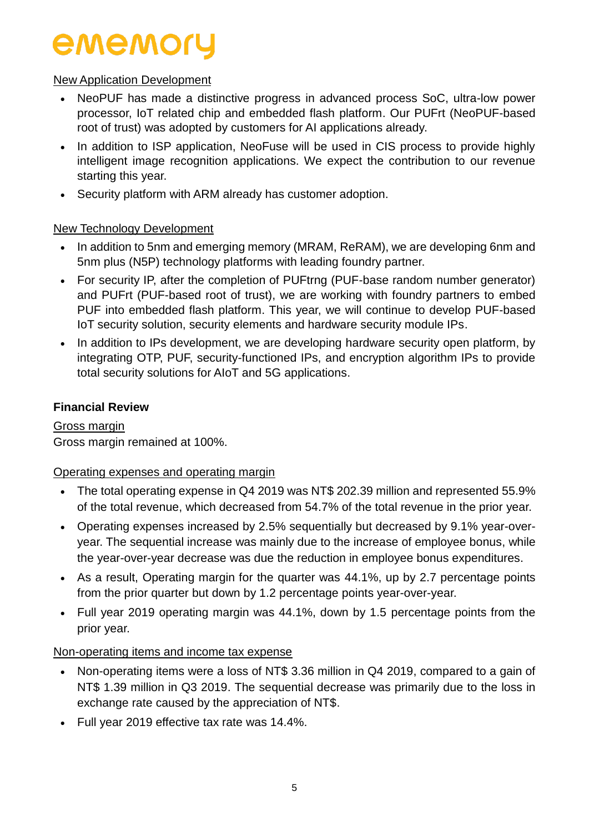### New Application Development

- NeoPUF has made a distinctive progress in advanced process SoC, ultra-low power processor, IoT related chip and embedded flash platform. Our PUFrt (NeoPUF-based root of trust) was adopted by customers for AI applications already.
- In addition to ISP application, NeoFuse will be used in CIS process to provide highly intelligent image recognition applications. We expect the contribution to our revenue starting this year.
- Security platform with ARM already has customer adoption.

## New Technology Development

- In addition to 5nm and emerging memory (MRAM, ReRAM), we are developing 6nm and 5nm plus (N5P) technology platforms with leading foundry partner.
- For security IP, after the completion of PUFtrng (PUF-base random number generator) and PUFrt (PUF-based root of trust), we are working with foundry partners to embed PUF into embedded flash platform. This year, we will continue to develop PUF-based IoT security solution, security elements and hardware security module IPs.
- In addition to IPs development, we are developing hardware security open platform, by integrating OTP, PUF, security-functioned IPs, and encryption algorithm IPs to provide total security solutions for AIoT and 5G applications.

### **Financial Review**

Gross margin Gross margin remained at 100%.

### Operating expenses and operating margin

- The total operating expense in Q4 2019 was NT\$ 202.39 million and represented 55.9% of the total revenue, which decreased from 54.7% of the total revenue in the prior year.
- Operating expenses increased by 2.5% sequentially but decreased by 9.1% year-overyear. The sequential increase was mainly due to the increase of employee bonus, while the year-over-year decrease was due the reduction in employee bonus expenditures.
- As a result, Operating margin for the quarter was 44.1%, up by 2.7 percentage points from the prior quarter but down by 1.2 percentage points year-over-year.
- Full year 2019 operating margin was 44.1%, down by 1.5 percentage points from the prior year.

### Non-operating items and income tax expense

- Non-operating items were a loss of NT\$ 3.36 million in Q4 2019, compared to a gain of NT\$ 1.39 million in Q3 2019. The sequential decrease was primarily due to the loss in exchange rate caused by the appreciation of NT\$.
- Full year 2019 effective tax rate was 14.4%.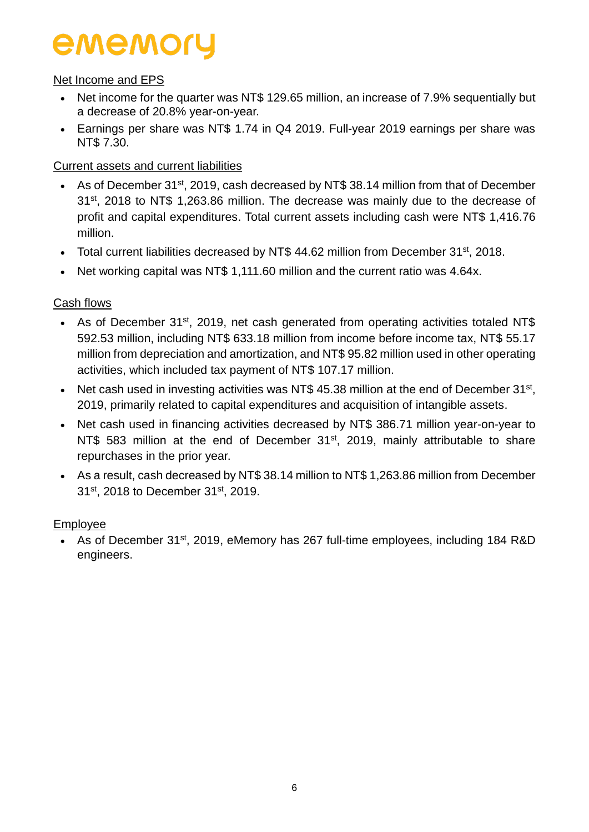### Net Income and EPS

- Net income for the quarter was NT\$ 129.65 million, an increase of 7.9% sequentially but a decrease of 20.8% year-on-year.
- Earnings per share was NT\$ 1.74 in Q4 2019. Full-year 2019 earnings per share was NT\$ 7.30.

### Current assets and current liabilities

- As of December 31<sup>st</sup>, 2019, cash decreased by NT\$ 38.14 million from that of December 31<sup>st</sup>, 2018 to NT\$ 1,263.86 million. The decrease was mainly due to the decrease of profit and capital expenditures. Total current assets including cash were NT\$ 1,416.76 million.
- Total current liabilities decreased by NT\$ 44.62 million from December  $31<sup>st</sup>$ , 2018.
- Net working capital was NT\$ 1,111.60 million and the current ratio was 4.64x.

## Cash flows

- As of December 31<sup>st</sup>, 2019, net cash generated from operating activities totaled NT\$ 592.53 million, including NT\$ 633.18 million from income before income tax, NT\$ 55.17 million from depreciation and amortization, and NT\$ 95.82 million used in other operating activities, which included tax payment of NT\$ 107.17 million.
- Net cash used in investing activities was NT\$ 45.38 million at the end of December  $31^{st}$ , 2019, primarily related to capital expenditures and acquisition of intangible assets.
- Net cash used in financing activities decreased by NT\$ 386.71 million year-on-year to NT\$ 583 million at the end of December 31<sup>st</sup>, 2019, mainly attributable to share repurchases in the prior year.
- As a result, cash decreased by NT\$ 38.14 million to NT\$ 1,263.86 million from December 31st, 2018 to December 31st, 2019.

## Employee

• As of December 31<sup>st</sup>, 2019, eMemory has 267 full-time employees, including 184 R&D engineers.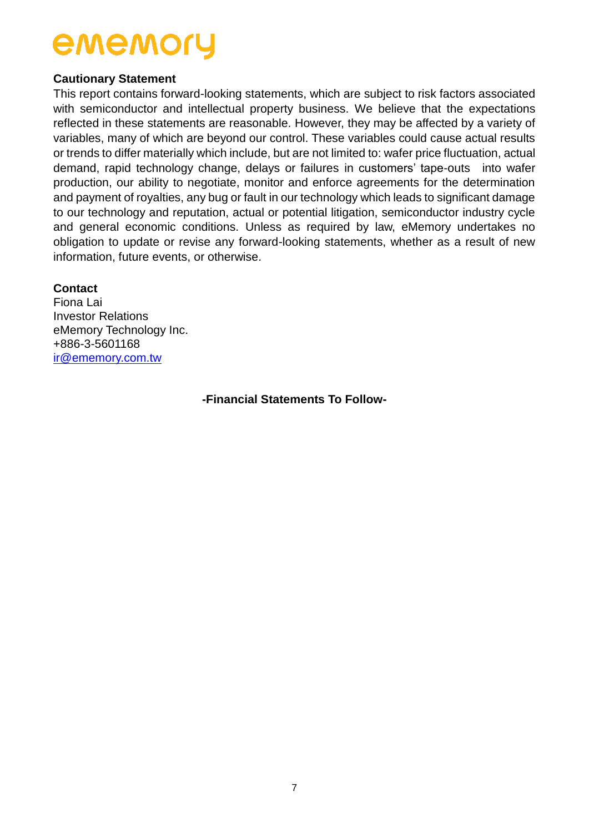#### **Cautionary Statement**

This report contains forward-looking statements, which are subject to risk factors associated with semiconductor and intellectual property business. We believe that the expectations reflected in these statements are reasonable. However, they may be affected by a variety of variables, many of which are beyond our control. These variables could cause actual results or trends to differ materially which include, but are not limited to: wafer price fluctuation, actual demand, rapid technology change, delays or failures in customers' tape-outs into wafer production, our ability to negotiate, monitor and enforce agreements for the determination and payment of royalties, any bug or fault in our technology which leads to significant damage to our technology and reputation, actual or potential litigation, semiconductor industry cycle and general economic conditions. Unless as required by law, eMemory undertakes no obligation to update or revise any forward-looking statements, whether as a result of new information, future events, or otherwise.

#### **Contact**

Fiona Lai Investor Relations eMemory Technology Inc. +886-3-5601168 [ir@ememory.com.tw](mailto:ir@ememory.com.tw)

**-Financial Statements To Follow-**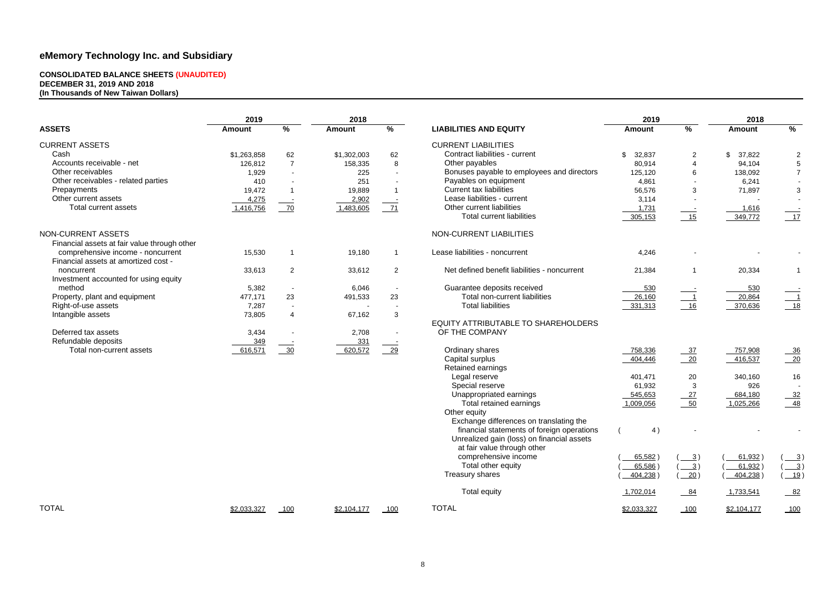#### **CONSOLIDATED BALANCE SHEETS (UNAUDITED) DECEMBER 31, 2019 AND 2018 (In Thousands of New Taiwan Dollars)**

|                                                                           | 2019          |                | 2018          |                |                                              | 2019          |                            | 2018          |                            |
|---------------------------------------------------------------------------|---------------|----------------|---------------|----------------|----------------------------------------------|---------------|----------------------------|---------------|----------------------------|
| <b>ASSETS</b>                                                             | <b>Amount</b> | %              | <b>Amount</b> | %              | <b>LIABILITIES AND EQUITY</b>                | <b>Amount</b> | $\%$                       | <b>Amount</b> | %                          |
| <b>CURRENT ASSETS</b>                                                     |               |                |               |                | <b>CURRENT LIABILITIES</b>                   |               |                            |               |                            |
| Cash                                                                      | \$1,263,858   | 62             | \$1,302,003   | 62             | Contract liabilities - current               | \$<br>32,837  | $\overline{2}$             | \$<br>37,822  | $\overline{c}$             |
| Accounts receivable - net                                                 | 126,812       | $\overline{7}$ | 158,335       | 8              | Other payables                               | 80,914        | $\overline{4}$             | 94,104        | $\overline{5}$             |
| Other receivables                                                         | 1,929         |                | 225           | $\sim$         | Bonuses payable to employees and directors   | 125,120       | 6                          | 138,092       | $7\overline{ }$            |
| Other receivables - related parties                                       | 410           |                | 251           |                | Payables on equipment                        | 4,861         |                            | 6,241         |                            |
| Prepayments                                                               | 19,472        |                | 19,889        | $\overline{1}$ | <b>Current tax liabilities</b>               | 56,576        | 3                          | 71,897        | $\mathbf{3}$               |
| Other current assets                                                      | 4,275         |                | 2,902         |                | Lease liabilities - current                  | 3,114         |                            |               | $\sim$                     |
| Total current assets                                                      | 1,416,756     | 70             | 1,483,605     | $-71$          | Other current liabilities                    | 1,731         | $\sim$                     | 1,616         |                            |
|                                                                           |               |                |               |                | <b>Total current liabilities</b>             | 305,153       | 15                         | 349,772       | 17                         |
| NON-CURRENT ASSETS                                                        |               |                |               |                | NON-CURRENT LIABILITIES                      |               |                            |               |                            |
| Financial assets at fair value through other                              |               |                |               |                |                                              |               |                            |               |                            |
| comprehensive income - noncurrent<br>Financial assets at amortized cost - | 15,530        |                | 19,180        |                | Lease liabilities - noncurrent               | 4,246         |                            |               |                            |
| noncurrent                                                                | 33,613        | $\overline{2}$ | 33,612        | $\overline{2}$ | Net defined benefit liabilities - noncurrent | 21,384        | $\mathbf 1$                | 20,334        | -1                         |
| Investment accounted for using equity                                     |               |                |               |                |                                              |               |                            |               |                            |
| method                                                                    | 5,382         |                | 6,046         | $\sim$         | Guarantee deposits received                  | 530           |                            | 530           |                            |
| Property, plant and equipment                                             | 477,171       | 23             | 491,533       | 23             | Total non-current liabilities                | 26,160        | $\overline{\phantom{0}}$ 1 | 20,864        | $\overline{\phantom{0}}$ 1 |
| Right-of-use assets                                                       | 7,287         |                |               |                | <b>Total liabilities</b>                     | 331,313       | $-16$                      | 370,636       | $18$                       |
| Intangible assets                                                         | 73,805        |                | 67,162        | 3              |                                              |               |                            |               |                            |
|                                                                           |               |                |               |                | EQUITY ATTRIBUTABLE TO SHAREHOLDERS          |               |                            |               |                            |
| Deferred tax assets                                                       | 3,434         |                | 2,708         |                | OF THE COMPANY                               |               |                            |               |                            |
| Refundable deposits                                                       | 349           |                | 331           |                |                                              |               |                            |               |                            |
| Total non-current assets                                                  | 616,571       | $\frac{30}{2}$ | 620,572       | $\frac{29}{2}$ | Ordinary shares                              | 758,336       | $-37$                      | 757,908       | $-36$                      |
|                                                                           |               |                |               |                | Capital surplus                              | 404,446       | $\overline{20}$            | 416,537       | $-20$                      |
|                                                                           |               |                |               |                | Retained earnings                            |               |                            |               |                            |
|                                                                           |               |                |               |                | Legal reserve                                | 401,471       | 20                         | 340,160       | 16                         |
|                                                                           |               |                |               |                | Special reserve                              | 61,932        | 3                          | 926           |                            |
|                                                                           |               |                |               |                | Unappropriated earnings                      | 545,653       | $\frac{27}{2}$             | 684,180       | $-32$                      |
|                                                                           |               |                |               |                | Total retained earnings                      | 1,009,056     | 50                         | 1,025,266     | $-48$                      |
|                                                                           |               |                |               |                | Other equity                                 |               |                            |               |                            |
|                                                                           |               |                |               |                | Exchange differences on translating the      |               |                            |               |                            |
|                                                                           |               |                |               |                | financial statements of foreign operations   | 4)            |                            |               |                            |
|                                                                           |               |                |               |                | Unrealized gain (loss) on financial assets   |               |                            |               |                            |
|                                                                           |               |                |               |                | at fair value through other                  |               |                            |               |                            |
|                                                                           |               |                |               |                | comprehensive income                         | 65,582)       | $\frac{3}{2}$              | 61,932)       | $\frac{3}{2}$              |
|                                                                           |               |                |               |                | Total other equity                           | $65,586$ )    | $\frac{3}{2}$              | 61,932        | $\frac{3}{2}$              |
|                                                                           |               |                |               |                | Treasury shares                              | 404,238)      | 20)                        | 404,238       | 19)                        |
|                                                                           |               |                |               |                | <b>Total equity</b>                          | 1,702,014     | $-84$                      | 1,733,541     | $-82$                      |
| <b>TOTAL</b>                                                              | \$2,033,327   | 100            | \$2,104,177   | 100            | <b>TOTAL</b>                                 | \$2,033,327   | 100                        | \$2,104,177   | 100                        |
|                                                                           |               |                |               |                |                                              |               |                            |               |                            |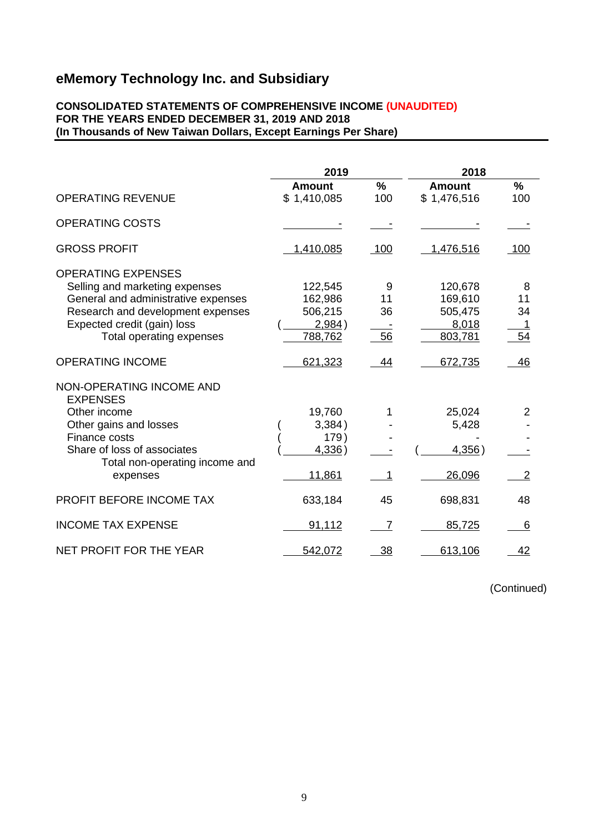#### **CONSOLIDATED STATEMENTS OF COMPREHENSIVE INCOME (UNAUDITED) FOR THE YEARS ENDED DECEMBER 31, 2019 AND 2018 (In Thousands of New Taiwan Dollars, Except Earnings Per Share)**

|                                                                                                                                                                                                    | 2019                                               |                     | 2018                                              |                     |
|----------------------------------------------------------------------------------------------------------------------------------------------------------------------------------------------------|----------------------------------------------------|---------------------|---------------------------------------------------|---------------------|
|                                                                                                                                                                                                    | <b>Amount</b>                                      | $\frac{0}{0}$       | <b>Amount</b>                                     | $\frac{9}{6}$       |
| <b>OPERATING REVENUE</b>                                                                                                                                                                           | \$1,410,085                                        | 100                 | \$1,476,516                                       | 100                 |
| <b>OPERATING COSTS</b>                                                                                                                                                                             |                                                    |                     |                                                   |                     |
| <b>GROSS PROFIT</b>                                                                                                                                                                                | 1,410,085                                          | 100                 | 1,476,516                                         | 100                 |
| <b>OPERATING EXPENSES</b><br>Selling and marketing expenses<br>General and administrative expenses<br>Research and development expenses<br>Expected credit (gain) loss<br>Total operating expenses | 122,545<br>162,986<br>506,215<br>2,984)<br>788,762 | 9<br>11<br>36<br>56 | 120,678<br>169,610<br>505,475<br>8,018<br>803,781 | 8<br>11<br>34<br>54 |
| <b>OPERATING INCOME</b>                                                                                                                                                                            | 621,323                                            | 44                  | 672,735                                           | 46                  |
| NON-OPERATING INCOME AND<br><b>EXPENSES</b><br>Other income<br>Other gains and losses<br>Finance costs<br>Share of loss of associates<br>Total non-operating income and<br>expenses                | 19,760<br>3,384)<br>179)<br>4,336)<br>11,861       | 1                   | 25,024<br>5,428<br>4,356)<br>26,096               | 2<br>$\overline{2}$ |
| PROFIT BEFORE INCOME TAX                                                                                                                                                                           | 633,184                                            | 45                  | 698,831                                           | 48                  |
| <b>INCOME TAX EXPENSE</b>                                                                                                                                                                          | 91,112                                             | 7                   | 85,725                                            | 6                   |
| NET PROFIT FOR THE YEAR                                                                                                                                                                            | 542,072                                            | 38                  | 613,106                                           | 42                  |

(Continued)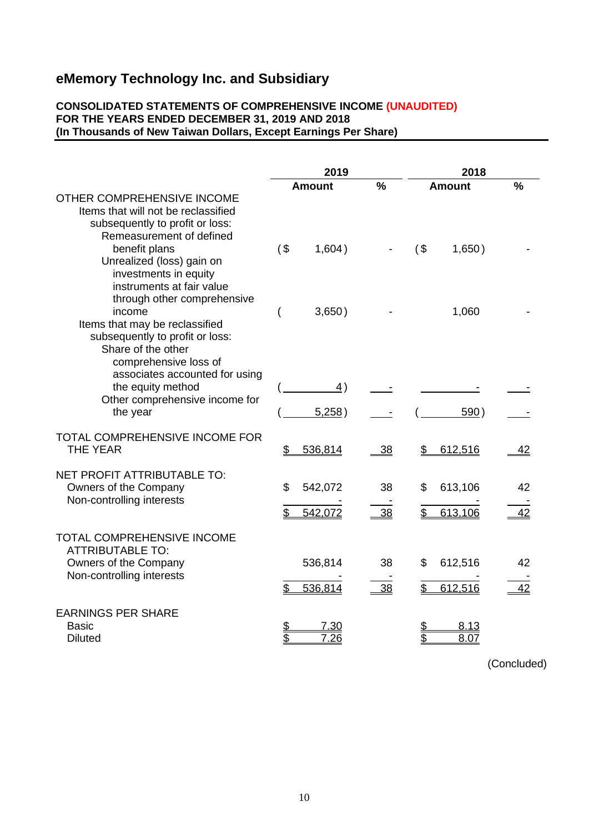#### **CONSOLIDATED STATEMENTS OF COMPREHENSIVE INCOME (UNAUDITED) FOR THE YEARS ENDED DECEMBER 31, 2019 AND 2018 (In Thousands of New Taiwan Dollars, Except Earnings Per Share)**

|                                                                                                                                                                                        | 2019          |                           |               | 2018     |                    |               |
|----------------------------------------------------------------------------------------------------------------------------------------------------------------------------------------|---------------|---------------------------|---------------|----------|--------------------|---------------|
|                                                                                                                                                                                        | <b>Amount</b> |                           | $\frac{0}{0}$ |          | <b>Amount</b>      | $\frac{0}{0}$ |
| OTHER COMPREHENSIVE INCOME<br>Items that will not be reclassified<br>subsequently to profit or loss:<br>Remeasurement of defined<br>benefit plans<br>Unrealized (loss) gain on         | $($ \$        | 1,604)                    |               | $($ \$   | 1,650)             |               |
| investments in equity<br>instruments at fair value<br>through other comprehensive<br>income<br>Items that may be reclassified<br>subsequently to profit or loss:<br>Share of the other |               | 3,650)                    |               |          | 1,060              |               |
| comprehensive loss of<br>associates accounted for using<br>the equity method<br>Other comprehensive income for<br>the year                                                             |               | $\overline{4})$<br>5,258) |               |          | 590)               |               |
| <b>TOTAL COMPREHENSIVE INCOME FOR</b><br><b>THE YEAR</b>                                                                                                                               | \$            | 536,814                   | 38            | \$       | 612,516            | <u>42</u>     |
| NET PROFIT ATTRIBUTABLE TO:<br>Owners of the Company<br>Non-controlling interests                                                                                                      | \$            | 542,072                   | 38            | \$       | 613,106            | 42            |
| TOTAL COMPREHENSIVE INCOME                                                                                                                                                             | \$            | 542,072                   | 38            | \$       | 613,106            | 42            |
| <b>ATTRIBUTABLE TO:</b><br>Owners of the Company<br>Non-controlling interests                                                                                                          | \$            | 536,814<br>536,814        | 38<br>38      | \$<br>\$ | 612,516<br>612,516 | 42<br>42      |
| <b>EARNINGS PER SHARE</b><br><b>Basic</b><br><b>Diluted</b>                                                                                                                            | \$<br>\$      | 7.30<br><u>7.26</u>       |               | \$<br>\$ | 8.13<br>8.07       |               |

(Concluded)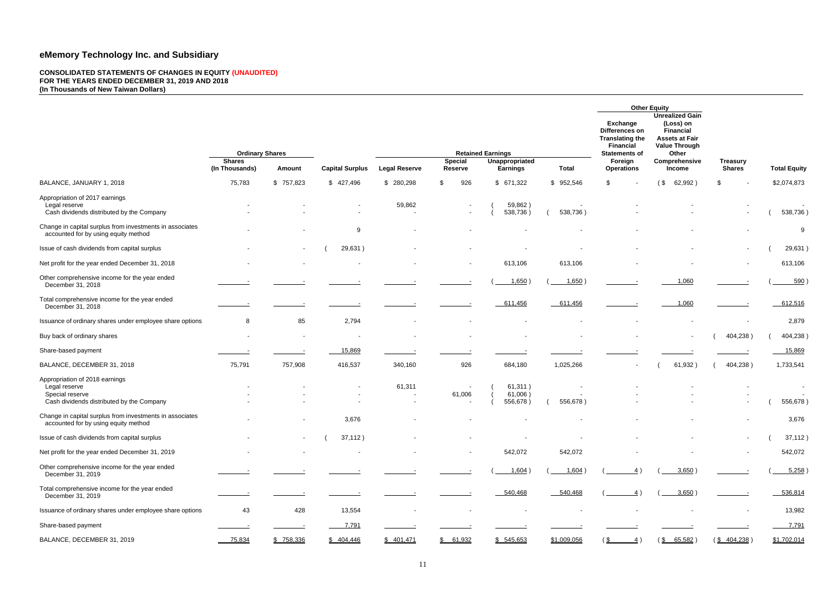#### **CONSOLIDATED STATEMENTS OF CHANGES IN EQUITY (UNAUDITED) FOR THE YEARS ENDED DECEMBER 31, 2019 AND 2018 (In Thousands of New Taiwan Dollars)**

|                                                                                                                 |                          |                          |                          |                                                              |                |                                |              |                          | <b>Other Equity</b>                                                                                                                |                      |                     |
|-----------------------------------------------------------------------------------------------------------------|--------------------------|--------------------------|--------------------------|--------------------------------------------------------------|----------------|--------------------------------|--------------|--------------------------|------------------------------------------------------------------------------------------------------------------------------------|----------------------|---------------------|
|                                                                                                                 | <b>Shares</b>            | <b>Ordinary Shares</b>   |                          | <b>Retained Earnings</b><br><b>Special</b><br>Unappropriated |                |                                |              |                          | <b>Unrealized Gain</b><br>(Loss) on<br><b>Financial</b><br><b>Assets at Fair</b><br><b>Value Through</b><br>Other<br>Comprehensive | <b>Treasury</b>      |                     |
|                                                                                                                 | (In Thousands)           | <b>Amount</b>            | <b>Capital Surplus</b>   | <b>Legal Reserve</b>                                         | <b>Reserve</b> | <b>Earnings</b>                | <b>Total</b> | <b>Operations</b>        | <b>Income</b>                                                                                                                      | <b>Shares</b>        | <b>Total Equity</b> |
| BALANCE, JANUARY 1, 2018                                                                                        | 75,783                   | \$757,823                | \$427,496                | \$ 280,298                                                   | 926<br>\$      | \$671,322                      | \$952,546    | \$                       | (\$<br>62,992)                                                                                                                     | \$                   | \$2,074,873         |
| Appropriation of 2017 earnings<br>Legal reserve<br>Cash dividends distributed by the Company                    |                          |                          |                          | 59,862                                                       |                | 59,862)<br>538,736)            | 538,736)     |                          |                                                                                                                                    |                      | 538,736)            |
| Change in capital surplus from investments in associates<br>accounted for by using equity method                |                          |                          | 9                        |                                                              |                |                                |              |                          |                                                                                                                                    |                      | 9                   |
| Issue of cash dividends from capital surplus                                                                    |                          | $\blacksquare$           | 29,631)                  |                                                              |                |                                |              |                          |                                                                                                                                    |                      | 29,631)             |
| Net profit for the year ended December 31, 2018                                                                 |                          |                          |                          |                                                              |                | 613,106                        | 613,106      |                          |                                                                                                                                    |                      | 613,106             |
| Other comprehensive income for the year ended<br>December 31, 2018                                              |                          |                          |                          |                                                              |                | 1,650                          | 1,650)       |                          | 1,060                                                                                                                              |                      | 590                 |
| Total comprehensive income for the year ended<br>December 31, 2018                                              |                          |                          |                          |                                                              |                | 611,456                        | 611,456      |                          | 1,060                                                                                                                              |                      | 612,516             |
| Issuance of ordinary shares under employee share options                                                        | 8                        | 85                       | 2,794                    |                                                              |                |                                |              |                          |                                                                                                                                    |                      | 2,879               |
| Buy back of ordinary shares                                                                                     | $\overline{\phantom{a}}$ | $\overline{\phantom{a}}$ | $\overline{\phantom{a}}$ |                                                              |                |                                |              |                          | $\overline{\phantom{a}}$                                                                                                           | 404,238)             | 404,238)            |
| Share-based payment                                                                                             |                          |                          | 15,869                   |                                                              |                |                                |              |                          |                                                                                                                                    |                      | 15,869              |
| BALANCE, DECEMBER 31, 2018                                                                                      | 75,791                   | 757,908                  | 416,537                  | 340,160                                                      | 926            | 684,180                        | 1,025,266    | $\overline{\phantom{a}}$ | 61,932)                                                                                                                            | 404,238)             | 1,733,541           |
| Appropriation of 2018 earnings<br>Legal reserve<br>Special reserve<br>Cash dividends distributed by the Company |                          |                          |                          | 61,311                                                       | 61,006         | 61,311)<br>61,006)<br>556,678) | 556,678)     |                          |                                                                                                                                    |                      | 556,678)            |
| Change in capital surplus from investments in associates<br>accounted for by using equity method                |                          |                          | 3,676                    |                                                              |                |                                |              |                          |                                                                                                                                    |                      | 3,676               |
| Issue of cash dividends from capital surplus                                                                    |                          | $\sim$                   | 37,112)                  |                                                              |                |                                |              |                          |                                                                                                                                    | $\sim$               | 37,112)             |
| Net profit for the year ended December 31, 2019                                                                 |                          |                          |                          |                                                              | $\sim$         | 542,072                        | 542,072      |                          |                                                                                                                                    | $\sim$               | 542,072             |
| Other comprehensive income for the year ended<br>December 31, 2019                                              |                          |                          |                          |                                                              |                | 1,604)                         | 1,604)       | 4)                       | 3,650)                                                                                                                             |                      | 5,258               |
| Total comprehensive income for the year ended<br>December 31, 2019                                              |                          |                          |                          |                                                              |                | 540,468                        | 540,468      | 4)                       | 3,650)                                                                                                                             |                      | 536,814             |
| Issuance of ordinary shares under employee share options                                                        | 43                       | 428                      | 13,554                   |                                                              |                |                                |              |                          |                                                                                                                                    |                      | 13,982              |
| Share-based payment                                                                                             |                          |                          | 7,791                    |                                                              |                |                                |              |                          |                                                                                                                                    |                      | 7,791               |
| BALANCE, DECEMBER 31, 2019                                                                                      | 75,834                   | \$758,336                | \$404,446                | \$401,471                                                    | \$61,932       | \$545,653                      | \$1,009,056  | $\frac{4}{ }$<br>\$∟     | $(\frac{$}{8} 65,582)$                                                                                                             | $(\frac{$404,238}{)$ | \$1,702,014         |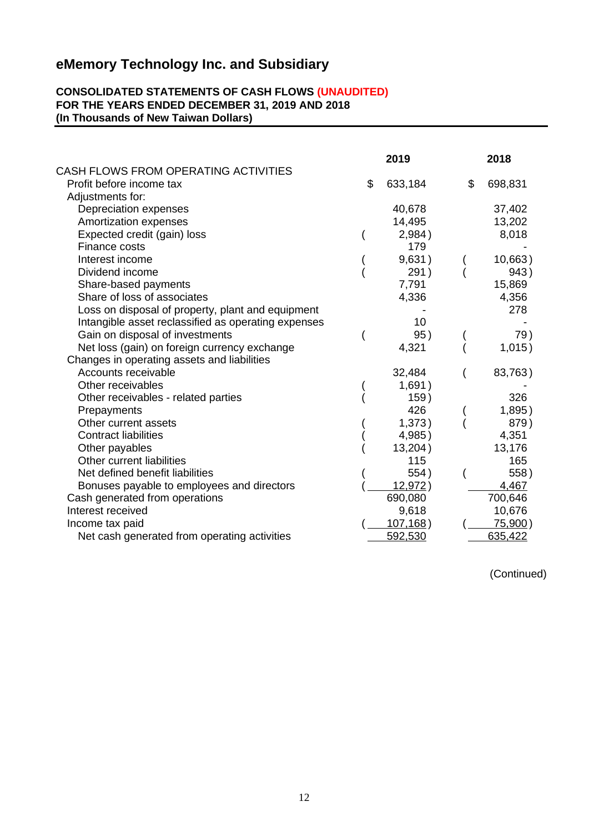#### **CONSOLIDATED STATEMENTS OF CASH FLOWS (UNAUDITED) FOR THE YEARS ENDED DECEMBER 31, 2019 AND 2018 (In Thousands of New Taiwan Dollars)**

|                                                     |    | 2019     |    | 2018    |  |
|-----------------------------------------------------|----|----------|----|---------|--|
| CASH FLOWS FROM OPERATING ACTIVITIES                |    |          |    |         |  |
| Profit before income tax                            | \$ | 633,184  | \$ | 698,831 |  |
| Adjustments for:                                    |    |          |    |         |  |
| Depreciation expenses                               |    | 40,678   |    | 37,402  |  |
| Amortization expenses                               |    | 14,495   |    | 13,202  |  |
| Expected credit (gain) loss                         |    | 2,984)   |    | 8,018   |  |
| Finance costs                                       |    | 179      |    |         |  |
| Interest income                                     |    | 9,631)   |    | 10,663) |  |
| Dividend income                                     |    | 291)     |    | 943)    |  |
| Share-based payments                                |    | 7,791    |    | 15,869  |  |
| Share of loss of associates                         |    | 4,336    |    | 4,356   |  |
| Loss on disposal of property, plant and equipment   |    |          |    | 278     |  |
| Intangible asset reclassified as operating expenses |    | 10       |    |         |  |
| Gain on disposal of investments                     |    | 95)      |    | 79)     |  |
| Net loss (gain) on foreign currency exchange        |    | 4,321    |    | 1,015)  |  |
| Changes in operating assets and liabilities         |    |          |    |         |  |
| Accounts receivable                                 |    | 32,484   |    | 83,763) |  |
| Other receivables                                   |    | 1,691)   |    |         |  |
| Other receivables - related parties                 |    | 159)     |    | 326     |  |
| Prepayments                                         |    | 426      |    | 1,895)  |  |
| Other current assets                                |    | 1,373)   |    | 879)    |  |
| <b>Contract liabilities</b>                         |    | 4,985)   |    | 4,351   |  |
| Other payables                                      |    | 13,204)  |    | 13,176  |  |
| Other current liabilities                           |    | 115      |    | 165     |  |
| Net defined benefit liabilities                     |    | 554)     |    | 558)    |  |
| Bonuses payable to employees and directors          |    | 12,972)  |    | 4,467   |  |
| Cash generated from operations                      |    | 690,080  |    | 700,646 |  |
| Interest received                                   |    | 9,618    |    | 10,676  |  |
| Income tax paid                                     |    | 107,168) |    | 75,900) |  |
| Net cash generated from operating activities        |    | 592,530  |    | 635,422 |  |

(Continued)